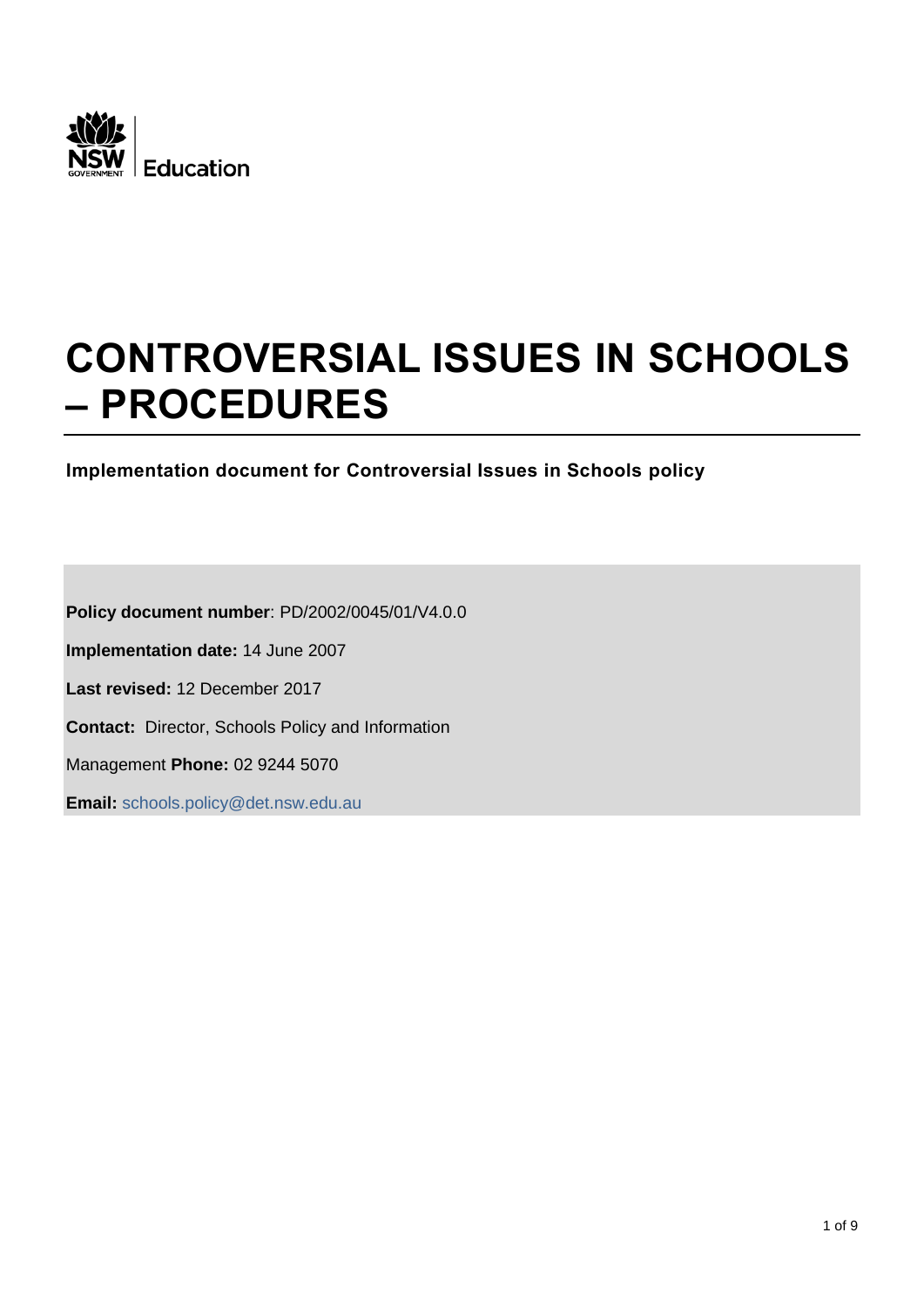

# **CONTROVERSIAL ISSUES IN SCHOOLS – PROCEDURES**

**Implementation document for Controversial Issues in Schools policy**

**Policy document number**: PD/2002/0045/01/V4.0.0 **Implementation date:** 14 June 2007 **Last revised:** 12 December 2017 **Contact:** Director, Schools Policy and Information Management **Phone:** 02 9244 5070 **Email:** [schools.policy@det.nsw.edu.au](mailto:schools.policy@det.nsw.edu.au?subject=Controversial%20Issues%20in%20Schools%20policy)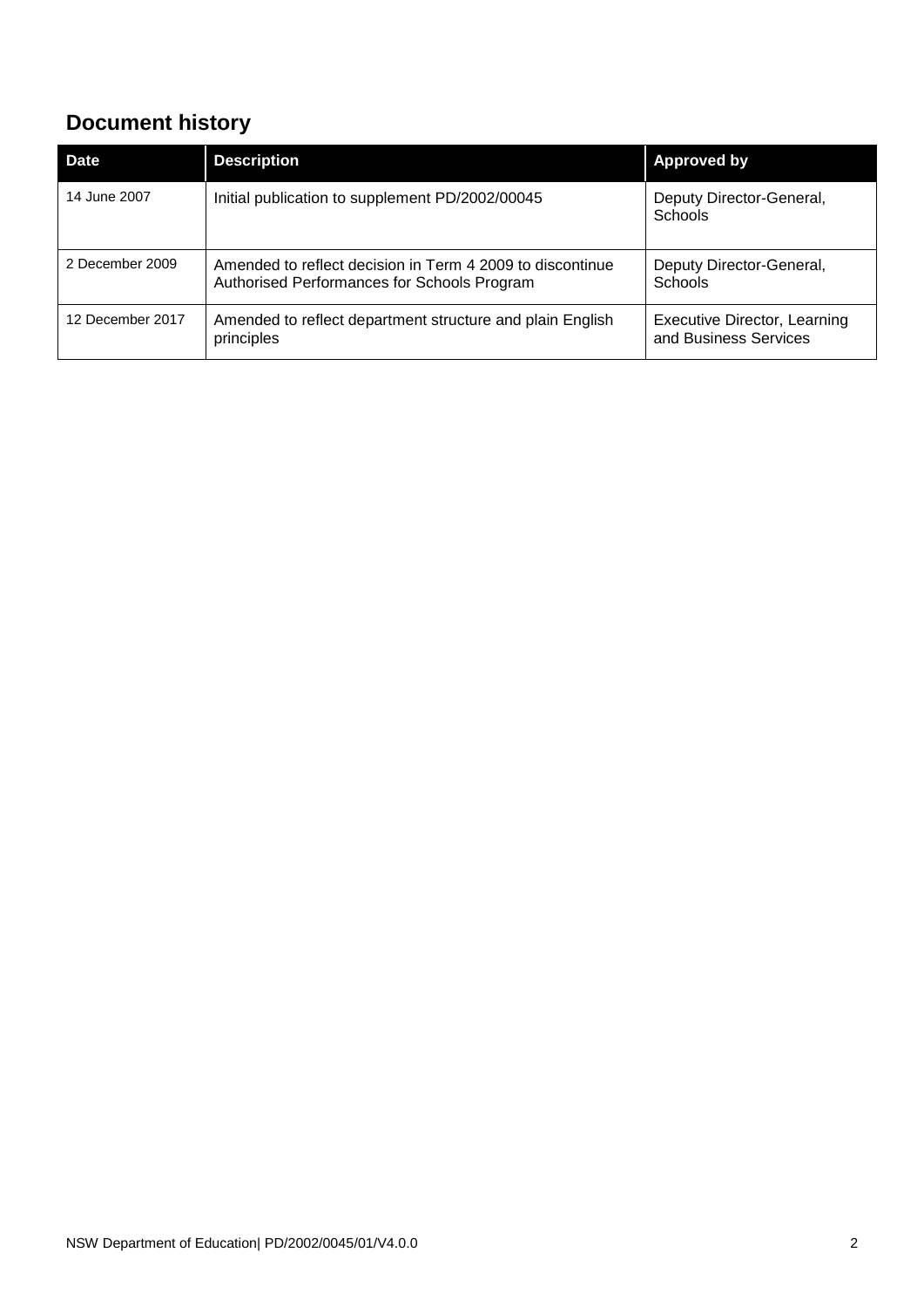# <span id="page-1-0"></span>**Document history**

| Date             | <b>Description</b>                                                                                       | <b>Approved by</b>                                    |
|------------------|----------------------------------------------------------------------------------------------------------|-------------------------------------------------------|
| 14 June 2007     | Initial publication to supplement PD/2002/00045                                                          | Deputy Director-General,<br><b>Schools</b>            |
| 2 December 2009  | Amended to reflect decision in Term 4 2009 to discontinue<br>Authorised Performances for Schools Program | Deputy Director-General,<br>Schools                   |
| 12 December 2017 | Amended to reflect department structure and plain English<br>principles                                  | Executive Director, Learning<br>and Business Services |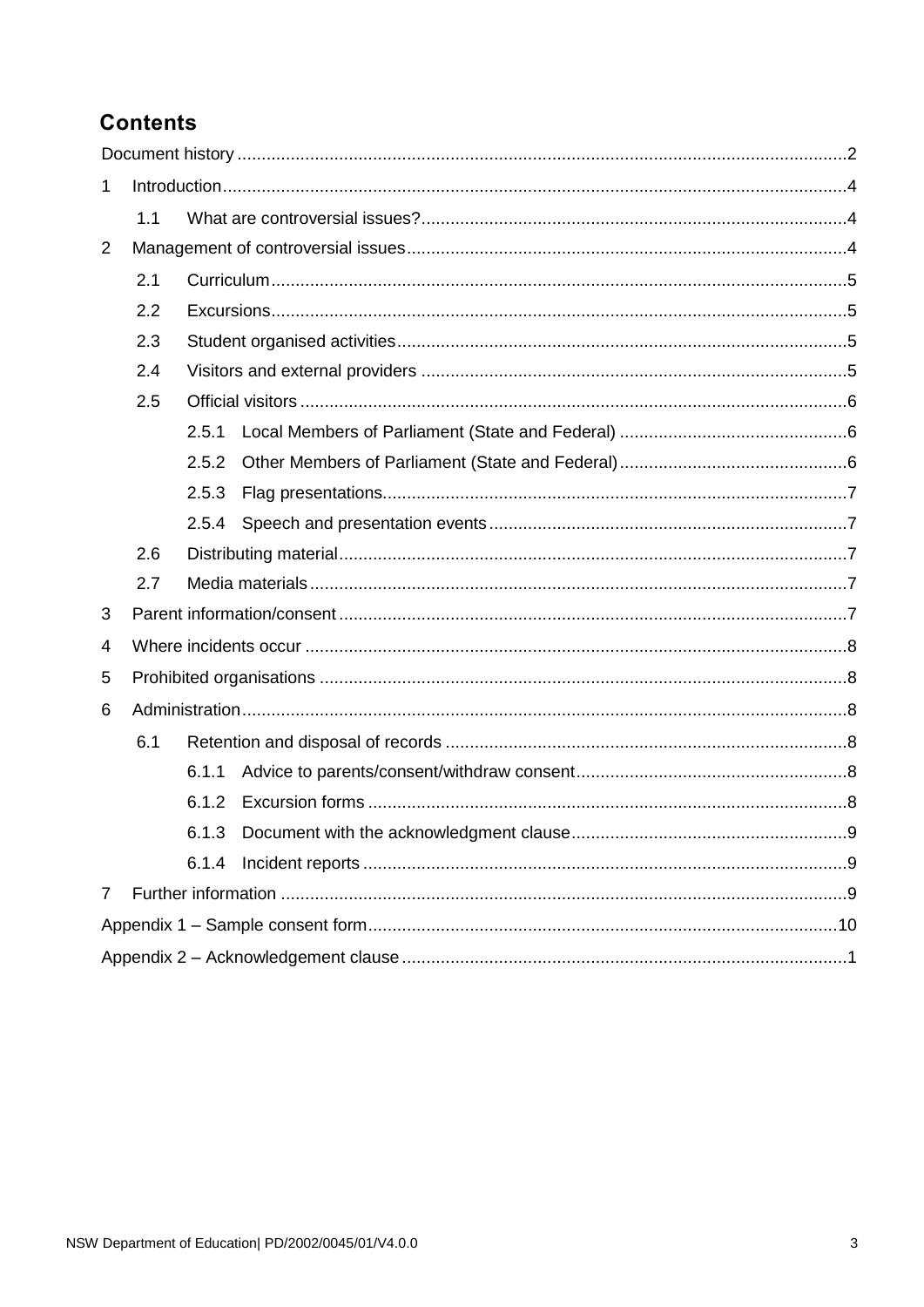# **Contents**

| 1              |     |       |  |  |  |  |  |
|----------------|-----|-------|--|--|--|--|--|
|                | 1.1 |       |  |  |  |  |  |
| $\overline{2}$ |     |       |  |  |  |  |  |
|                | 2.1 |       |  |  |  |  |  |
|                | 2.2 |       |  |  |  |  |  |
|                | 2.3 |       |  |  |  |  |  |
|                | 2.4 |       |  |  |  |  |  |
|                | 2.5 |       |  |  |  |  |  |
|                |     | 2.5.1 |  |  |  |  |  |
|                |     | 2.5.2 |  |  |  |  |  |
|                |     | 2.5.3 |  |  |  |  |  |
|                |     |       |  |  |  |  |  |
|                | 2.6 |       |  |  |  |  |  |
|                | 2.7 |       |  |  |  |  |  |
| 3              |     |       |  |  |  |  |  |
| 4              |     |       |  |  |  |  |  |
| 5              |     |       |  |  |  |  |  |
| 6              |     |       |  |  |  |  |  |
|                | 6.1 |       |  |  |  |  |  |
|                |     | 6.1.1 |  |  |  |  |  |
|                |     | 6.1.2 |  |  |  |  |  |
|                |     | 6.1.3 |  |  |  |  |  |
|                |     |       |  |  |  |  |  |
| 7              |     |       |  |  |  |  |  |
|                |     |       |  |  |  |  |  |
|                |     |       |  |  |  |  |  |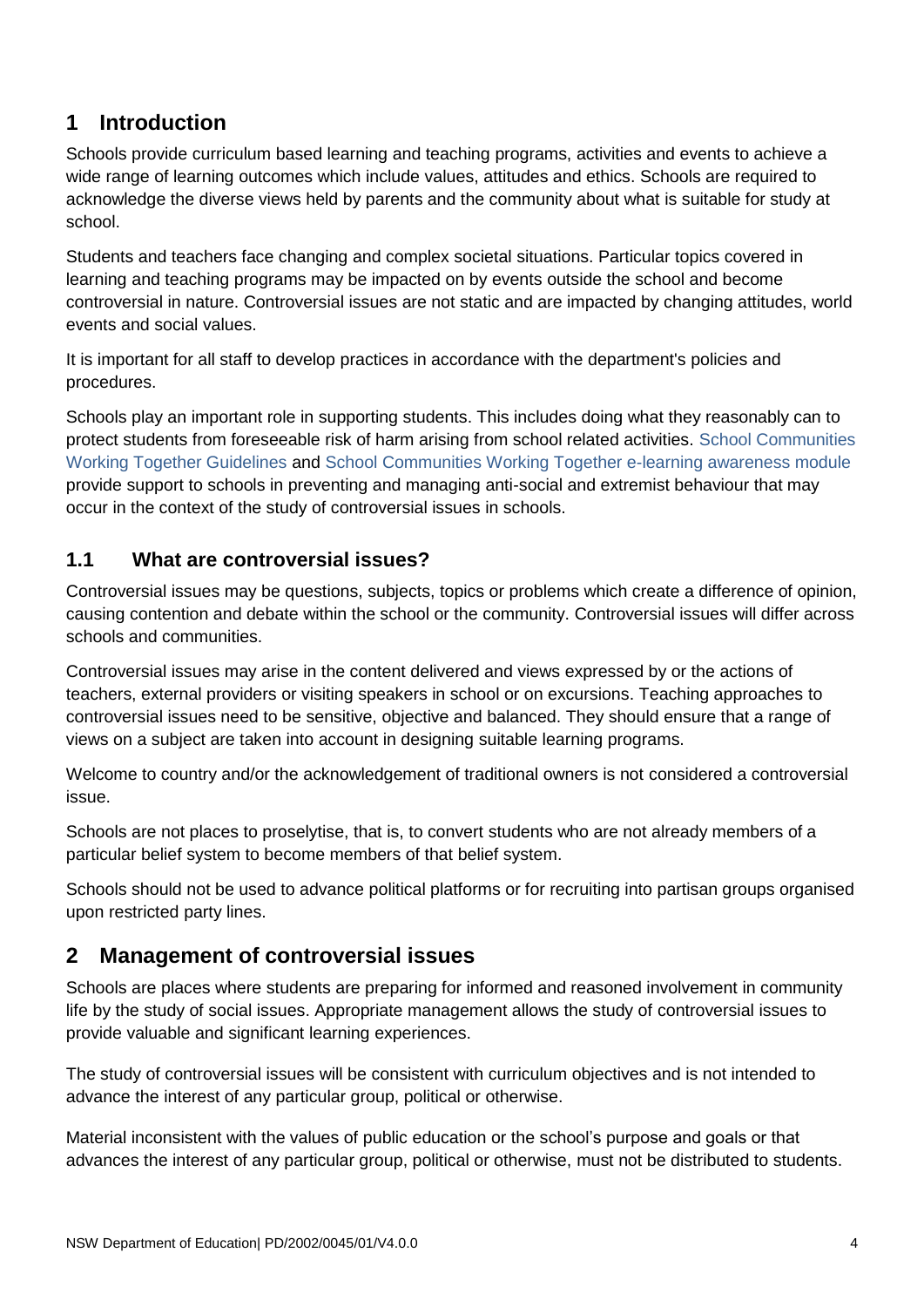# <span id="page-3-0"></span>**1 Introduction**

Schools provide curriculum based learning and teaching programs, activities and events to achieve a wide range of learning outcomes which include values, attitudes and ethics. Schools are required to acknowledge the diverse views held by parents and the community about what is suitable for study at school.

Students and teachers face changing and complex societal situations. Particular topics covered in learning and teaching programs may be impacted on by events outside the school and become controversial in nature. Controversial issues are not static and are impacted by changing attitudes, world events and social values.

It is important for all staff to develop practices in accordance with the department's policies and procedures.

Schools play an important role in supporting students. This includes doing what they reasonably can to protect students from foreseeable risk of harm arising from school related activities. [School Communities](https://education.nsw.gov.au/inside-the-department/health-and-safety/media/documents/school-communities-working-together/PROC004_SCWTGUIDELINES_v1.pdf)  [Working Together Guidelines](https://education.nsw.gov.au/inside-the-department/health-and-safety/media/documents/school-communities-working-together/PROC004_SCWTGUIDELINES_v1.pdf) and [School Communities Working Together e-learning awareness module](https://education.nsw.gov.au/inside-the-department/health-and-safety/school-communities-working-together) provide support to schools in preventing and managing anti-social and extremist behaviour that may occur in the context of the study of controversial issues in schools.

# <span id="page-3-1"></span>**1.1 What are controversial issues?**

Controversial issues may be questions, subjects, topics or problems which create a difference of opinion, causing contention and debate within the school or the community. Controversial issues will differ across schools and communities.

Controversial issues may arise in the content delivered and views expressed by or the actions of teachers, external providers or visiting speakers in school or on excursions. Teaching approaches to controversial issues need to be sensitive, objective and balanced. They should ensure that a range of views on a subject are taken into account in designing suitable learning programs.

Welcome to country and/or the acknowledgement of traditional owners is not considered a controversial issue.

Schools are not places to proselytise, that is, to convert students who are not already members of a particular belief system to become members of that belief system.

Schools should not be used to advance political platforms or for recruiting into partisan groups organised upon restricted party lines.

# <span id="page-3-2"></span>**2 Management of controversial issues**

Schools are places where students are preparing for informed and reasoned involvement in community life by the study of social issues. Appropriate management allows the study of [controversial issues t](https://detwww.det.nsw.edu.au/policies/curriculum/schools/cont_issue/PD20020045_i.shtml?level=)o provide valuable and significant learning experiences.

The study of [controversial issues w](https://detwww.det.nsw.edu.au/policies/curriculum/schools/cont_issue/PD20020045_i.shtml?level=)ill be consistent with curriculum objectives and is not intended to advance the interest of any particular group, political or otherwise.

Material inconsistent with the values of public education or the school's purpose and goals or that advances the interest of any particular group, political or otherwise, must not be distributed to students.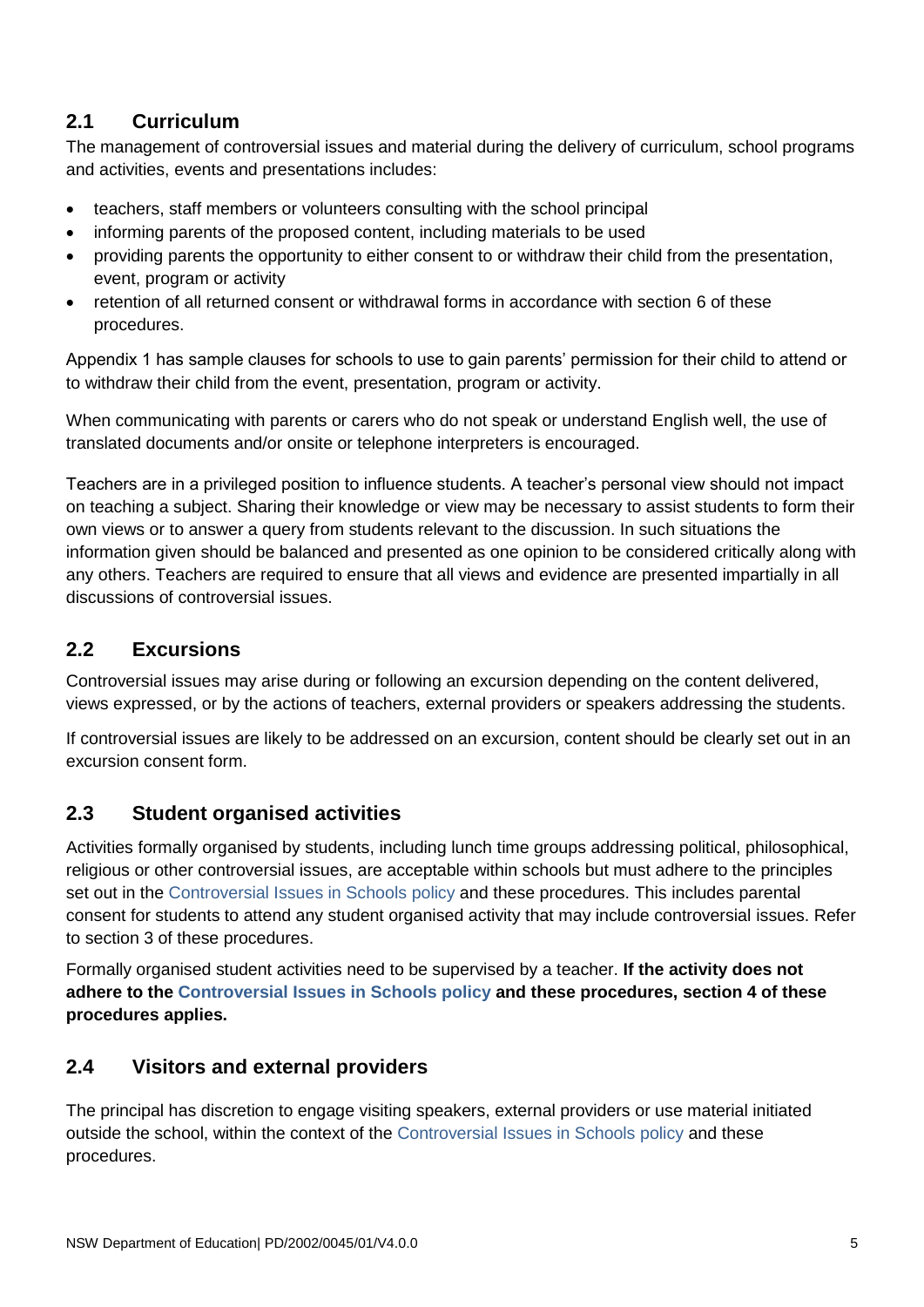# <span id="page-4-0"></span>**2.1 Curriculum**

The management of controversial issues and material during the delivery of curriculum, school programs and activities, events and presentations includes:

- teachers, staff members or volunteers consulting with the school principal
- informing parents of the proposed content, including materials to be used
- providing parents the opportunity to either consent to or withdraw their child from the presentation, event, program or activity
- retention of all returned consent or withdrawal forms in accordance with section 6 of these procedures.

Appendix 1 has sample clauses for schools to use to gain parents' permission for their child to attend or to withdraw their child from the event, presentation, program or activity.

When communicating with parents or carers who do not speak or understand English well, the use of translated documents and/or onsite or telephone interpreters is encouraged.

Teachers are in a privileged position to influence students. A teacher's personal view should not impact on teaching a subject. Sharing their knowledge or view may be necessary to assist students to form their own views or to answer a query from students relevant to the discussion. In such situations the information given should be balanced and presented as one opinion to be considered critically along with any others. Teachers are required to ensure that all views and evidence are presented impartially in all discussions of controversial issues.

# <span id="page-4-1"></span>**2.2 Excursions**

Controversial issues may arise during or following an excursion depending on the content delivered, views expressed, or by the actions of teachers, external providers or speakers addressing the students.

If controversial issues are likely to be addressed on an excursion, content should be clearly set out in an excursion consent form.

# <span id="page-4-2"></span>**2.3 Student organised activities**

Activities formally organised by students, including lunch time groups addressing political, philosophical, religious or other controversial issues, are acceptable within schools but must adhere to the principles set out in the [Controversial Issues in Schools policy](https://education.nsw.gov.au/policy-library/policies/controversial-issues-in-schools) and these procedures. This includes parental consent for students to attend any student organised activity that may include controversial issues. Refer to section 3 of these procedures.

Formally organised student activities need to be supervised by a teacher. **If the activity does not adhere to the [Controversial Issues in Schools policy](https://education.nsw.gov.au/policy-library/policies/controversial-issues-in-schools) and these procedures, section 4 of these procedures applies.** 

# <span id="page-4-3"></span>**2.4 Visitors and external providers**

The principal has discretion to engage visiting speakers, external providers or use material initiated outside the school, within the context of the [Controversial Issues in Schools policy](https://education.nsw.gov.au/policy-library/policies/controversial-issues-in-schools) and these procedures.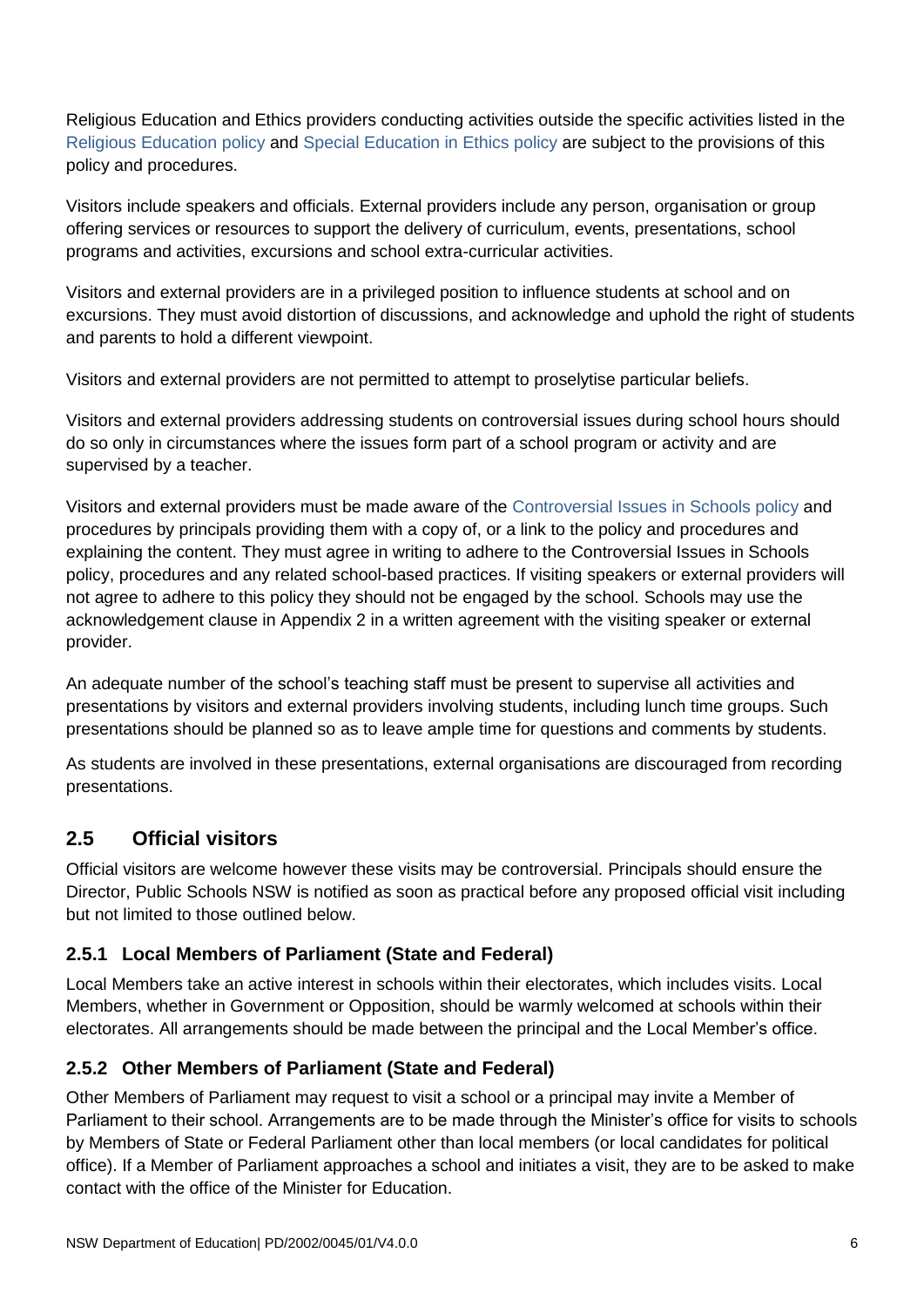Religious Education and Ethics providers conducting activities outside the specific activities listed in the [Religious Education](https://education.nsw.gov.au/policy-library/policies/religious-education-policy) policy and [Special Education in Ethics](https://education.nsw.gov.au/policy-library/policies/special-education-in-ethics-policy) policy are subject to the provisions of this policy and procedures.

Visitors include speakers and officials. External providers include any person, organisation or group offering services or resources to support the delivery of curriculum, events, presentations, school programs and activities, excursions and school extra-curricular activities.

Visitors and external providers are in a privileged position to influence students at school and on excursions. They must avoid distortion of discussions, and acknowledge and uphold the right of students and parents to hold a different viewpoint.

Visitors and external providers are not permitted to attempt to proselytise particular beliefs.

Visitors and external providers addressing students on controversial issues during school hours should do so only in circumstances where the issues form part of a school program or activity and are supervised by a teacher.

Visitors and external providers must be made aware of the [Controversial Issues in Schools policy](https://education.nsw.gov.au/policy-library/policies/controversial-issues-in-schools) and procedures by principals providing them with a copy of, or a link to the policy and procedures and explaining the content. They must agree in writing to adhere to the Controversial Issues in Schools policy, procedures and any related school-based practices. If visiting speakers or external providers will not agree to adhere to this policy they should not be engaged by the school. Schools may use the acknowledgement clause in Appendix 2 in a written agreement with the visiting speaker or external provider.

An adequate number of the school's teaching staff must be present to supervise all activities and presentations by visitors and external providers involving students, including lunch time groups. Such presentations should be planned so as to leave ample time for questions and comments by students.

As students are involved in these presentations, external organisations are discouraged from recording presentations.

# <span id="page-5-0"></span>**2.5 Official visitors**

Official visitors are welcome however these visits may be controversial. Principals should ensure the Director, Public Schools NSW is notified as soon as practical before any proposed official visit including but not limited to those outlined below.

# <span id="page-5-1"></span>**2.5.1 Local Members of Parliament (State and Federal)**

Local Members take an active interest in schools within their electorates, which includes visits. Local Members, whether in Government or Opposition, should be warmly welcomed at schools within their electorates. All arrangements should be made between the principal and the Local Member's office.

# <span id="page-5-2"></span>**2.5.2 Other Members of Parliament (State and Federal)**

Other Members of Parliament may request to visit a school or a principal may invite a Member of Parliament to their school. Arrangements are to be made through the Minister's office for visits to schools by Members of State or Federal Parliament other than local members (or local candidates for political office). If a Member of Parliament approaches a school and initiates a visit, they are to be asked to make contact with the office of the Minister for Education.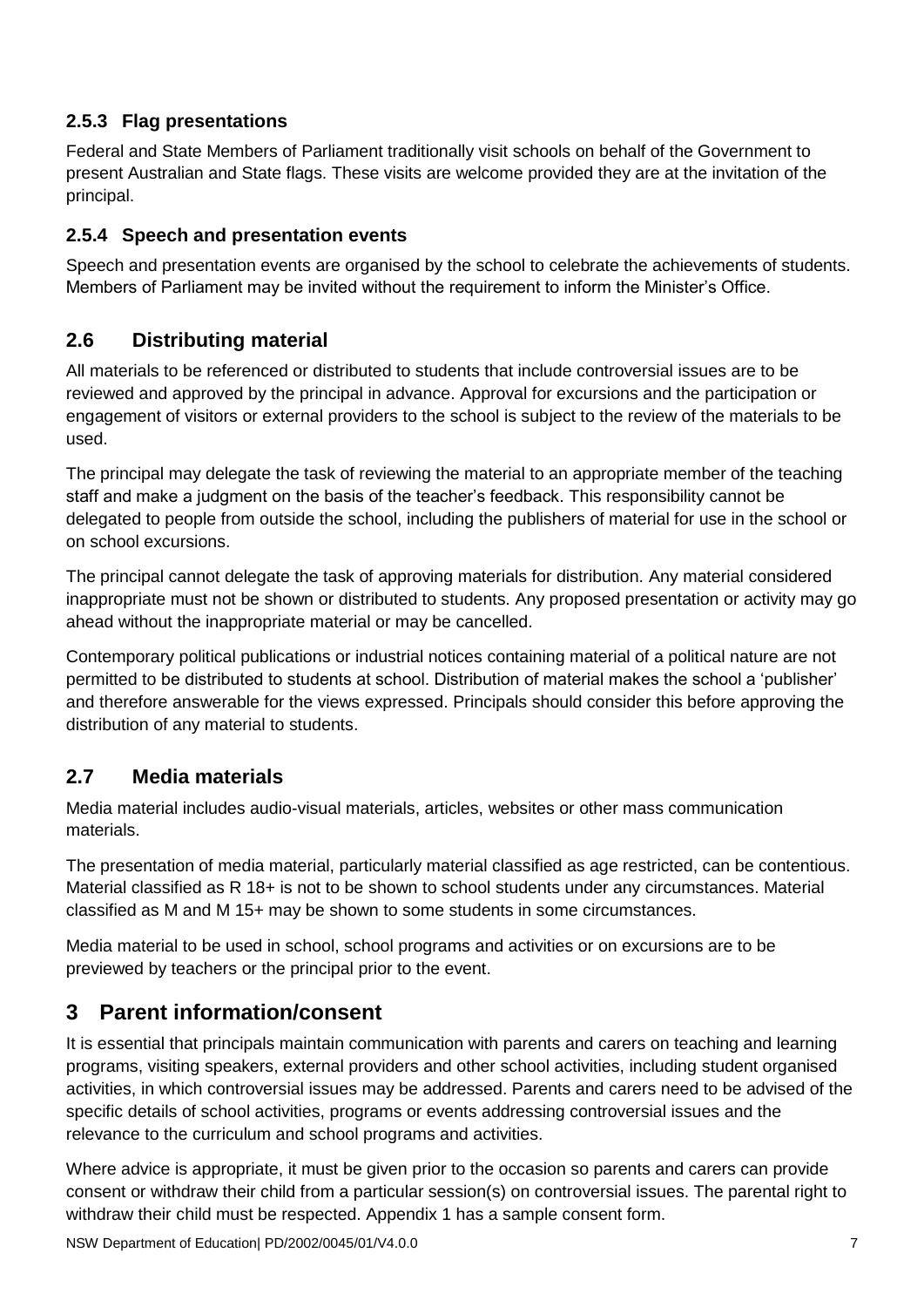#### <span id="page-6-0"></span>**2.5.3 Flag presentations**

Federal and State Members of Parliament traditionally visit schools on behalf of the Government to present Australian and State flags. These visits are welcome provided they are at the invitation of the principal.

#### <span id="page-6-1"></span>**2.5.4 Speech and presentation events**

Speech and presentation events are organised by the school to celebrate the achievements of students. Members of Parliament may be invited without the requirement to inform the Minister's Office.

# <span id="page-6-2"></span>**2.6 Distributing material**

All materials to be referenced or distributed to students that include controversial issues are to be reviewed and approved by the principal in advance. Approval for excursions and the participation or engagement of visitors or external providers to the school is subject to the review of the materials to be used.

The principal may delegate the task of reviewing the material to an appropriate member of the teaching staff and make a judgment on the basis of the teacher's feedback. This responsibility cannot be delegated to people from outside the school, including the publishers of material for use in the school or on school excursions.

The principal cannot delegate the task of approving materials for distribution. Any material considered inappropriate must not be shown or distributed to students. Any proposed presentation or activity may go ahead without the inappropriate material or may be cancelled.

Contemporary political publications or industrial notices containing material of a political nature are not permitted to be distributed to students at school. Distribution of material makes the school a 'publisher' and therefore answerable for the views expressed. Principals should consider this before approving the distribution of any material to students.

# <span id="page-6-3"></span>**2.7 Media materials**

Media material includes audio-visual materials, articles, websites or other mass communication materials.

The presentation of media material, particularly material classified as age restricted, can be contentious. Material classified as R 18+ is not to be shown to school students under any circumstances. Material classified as M and M 15+ may be shown to some students in some circumstances.

Media material to be used in school, school programs and activities or on excursions are to be previewed by teachers or the principal prior to the event.

# <span id="page-6-4"></span>**3 Parent information/consent**

It is essential that principals maintain communication with parents and carers on teaching and learning programs, visiting speakers, external providers and other school activities, including student organised activities, in which controversial issues may be addressed. Parents and carers need to be advised of the specific details of school activities, programs or events addressing controversial issues and the relevance to the curriculum and school programs and activities.

Where advice is appropriate, it must be given prior to the occasion so parents and carers can provide consent or withdraw their child from a particular session(s) on controversial issues. The parental right to withdraw their child must be respected. Appendix 1 has a sample consent form.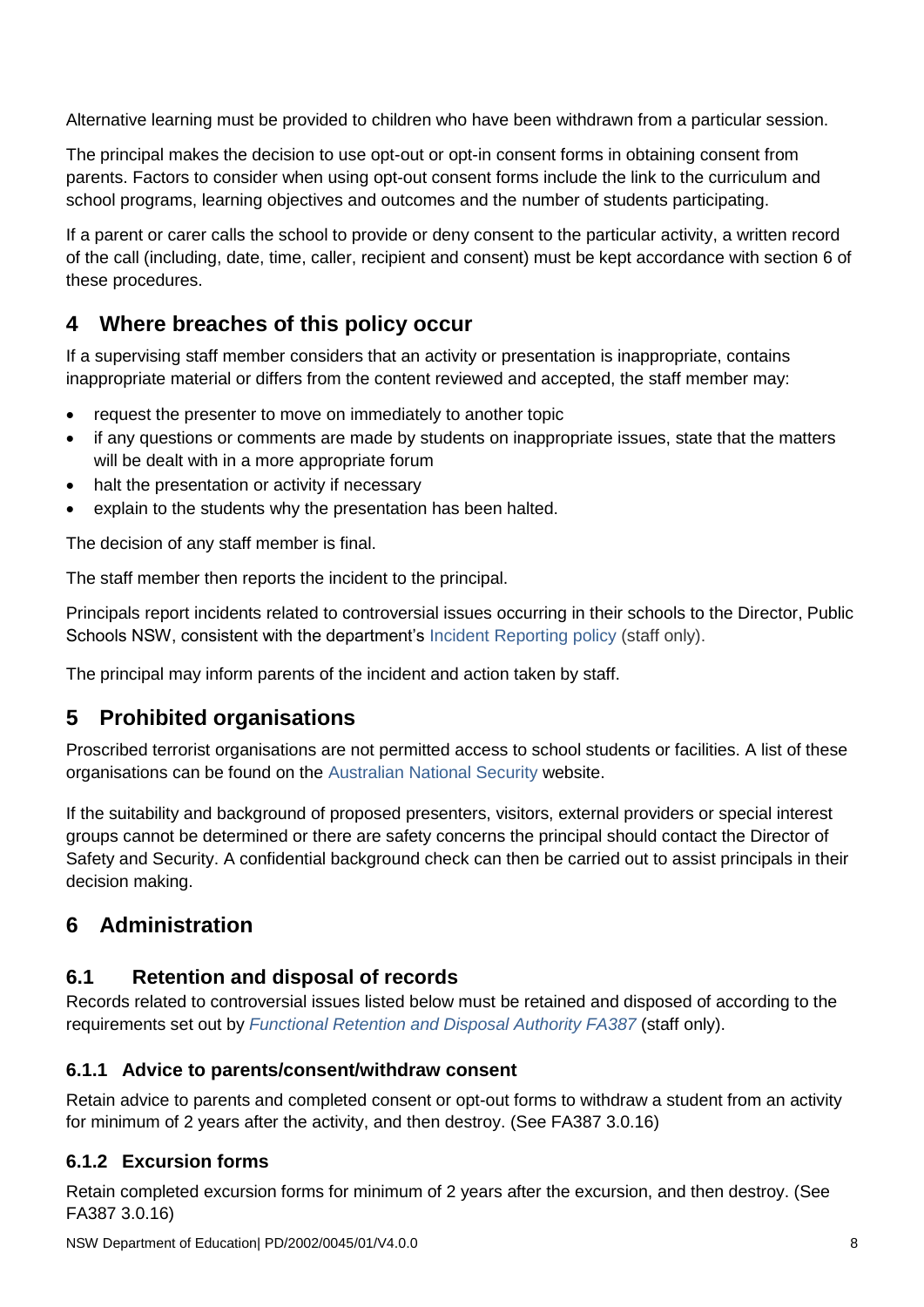Alternative learning must be provided to children who have been withdrawn from a particular session.

The principal makes the decision to use opt-out or opt-in consent forms in obtaining consent from parents. Factors to consider when using opt-out consent forms include the link to the curriculum and school programs, learning objectives and outcomes and the number of students participating.

If a parent or carer calls the school to provide or deny consent to the particular activity, a written record of the call (including, date, time, caller, recipient and consent) must be kept accordance with section 6 of these procedures.

# <span id="page-7-0"></span>**4 Where breaches of this policy occur**

If a supervising staff member considers that an activity or presentation is inappropriate, contains inappropriate material or differs from the content reviewed and accepted, the staff member may:

- request the presenter to move on immediately to another topic
- if any questions or comments are made by students on inappropriate issues, state that the matters will be dealt with in a more appropriate forum
- halt the presentation or activity if necessary
- explain to the students why the presentation has been halted.

The decision of any staff member is final.

The staff member then reports the incident to the principal.

Principals report incidents related to controversial issues occurring in their schools to the Director, Public Schools NSW, consistent with the department's [Incident Reporting policy](https://education.nsw.gov.au/policy-library/policies/incident-reporting-policy) (staff only).

The principal may inform parents of the incident and action taken by staff.

# <span id="page-7-1"></span>**5 Prohibited organisations**

Proscribed terrorist organisations are not permitted access to school students or facilities. A list of these organisations can be found on the [Australian National Security](http://www.nationalsecurity.gov.au/Listedterroristorganisations/Pages/default.aspx) website.

If the suitability and background of proposed presenters, visitors, external providers or special interest groups cannot be determined or there are safety concerns the principal should contact the Director of Safety and Security. A confidential background check can then be carried out to assist principals in their decision making.

# <span id="page-7-2"></span>**6 Administration**

# <span id="page-7-3"></span>**6.1 Retention and disposal of records**

Records related to controversial issues listed below must be retained and disposed of according to the requirements set out by *[Functional Retention and Disposal Authority FA387](https://education.nsw.gov.au/business-services/records-management/policy-procedures-and-standards/disposal-authorities)* (staff only).

#### <span id="page-7-4"></span>**6.1.1 Advice to parents/consent/withdraw consent**

Retain advice to parents and completed consent or opt-out forms to withdraw a student from an activity for minimum of 2 years after the activity, and then destroy. (See FA387 3.0.16)

#### <span id="page-7-5"></span>**6.1.2 Excursion forms**

Retain completed excursion forms for minimum of 2 years after the excursion, and then destroy. (See FA387 3.0.16)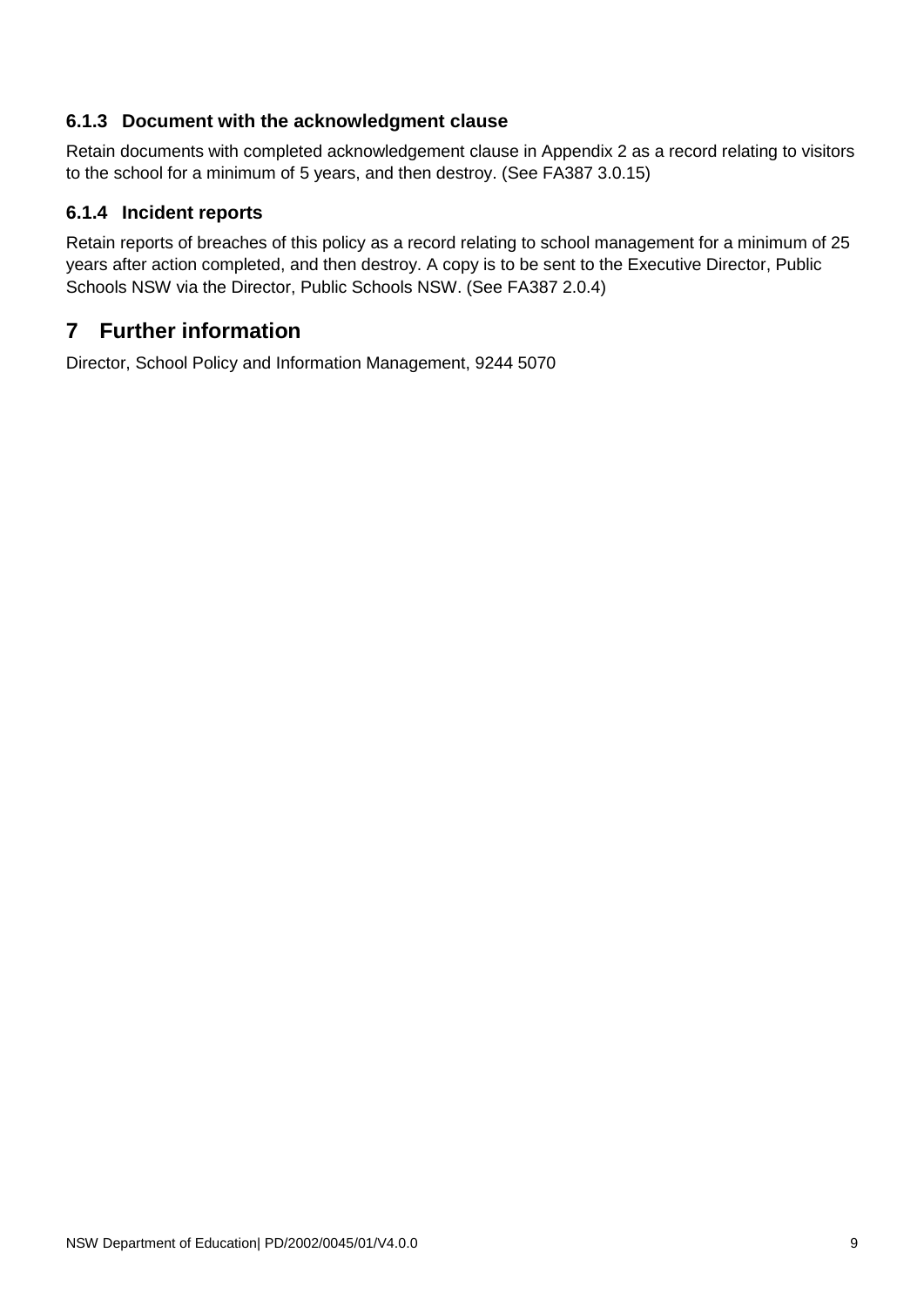#### <span id="page-8-0"></span>**6.1.3 Document with the acknowledgment clause**

Retain documents with completed acknowledgement clause in Appendix 2 as a record relating to visitors to the school for a minimum of 5 years, and then destroy. (See FA387 3.0.15)

#### <span id="page-8-1"></span>**6.1.4 Incident reports**

Retain reports of breaches of this policy as a record relating to school management for a minimum of 25 years after action completed, and then destroy. A copy is to be sent to the Executive Director, Public Schools NSW via the Director, Public Schools NSW. (See FA387 2.0.4)

# <span id="page-8-2"></span>**7 Further information**

Director, School Policy and Information Management, 9244 5070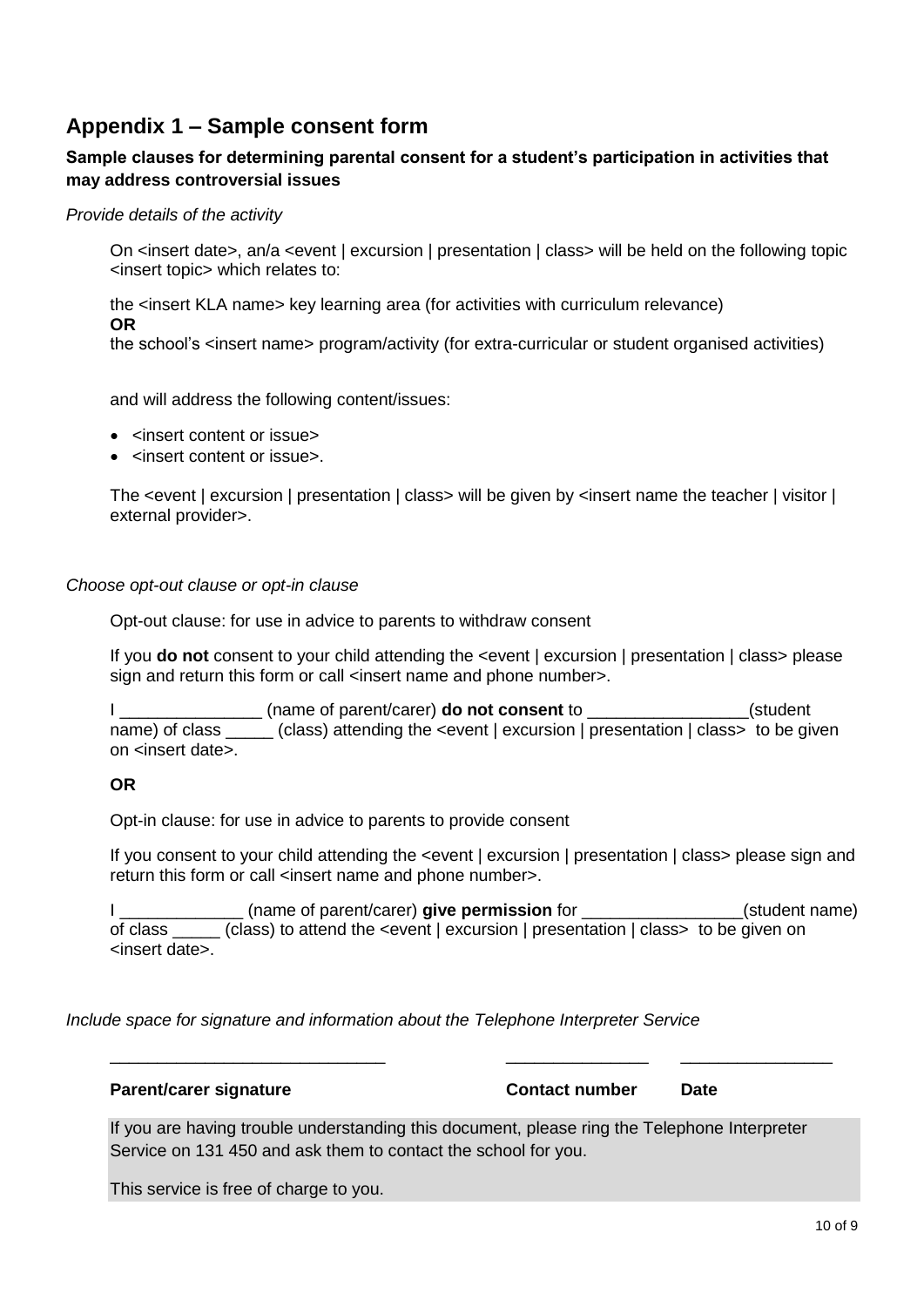# <span id="page-9-0"></span>**Appendix 1 – Sample consent form**

#### **Sample clauses for determining parental consent for a student's participation in activities that may address controversial issues**

#### *Provide details of the activity*

On <insert date>, an/a <event | excursion | presentation | class> will be held on the following topic <insert topic> which relates to:

the <insert KLA name> key learning area (for activities with curriculum relevance) **OR**

the school's <insert name> program/activity (for extra-curricular or student organised activities)

and will address the following content/issues:

- <insert content or issue>
- <insert content or issue>.

The <event | excursion | presentation | class> will be given by <insert name the teacher | visitor | external provider>.

#### *Choose opt-out clause or opt-in clause*

Opt-out clause: for use in advice to parents to withdraw consent

If you **do not** consent to your child attending the <event | excursion | presentation | class> please sign and return this form or call <insert name and phone number>.

I \_\_\_\_\_\_\_\_\_\_\_\_\_\_\_ (name of parent/carer) **do not consent** to \_\_\_\_\_\_\_\_\_\_\_\_\_\_\_\_\_(student name) of class (class) attending the <event | excursion | presentation | class> to be given on <insert date>.

#### **OR**

Opt-in clause: for use in advice to parents to provide consent

If you consent to your child attending the <event | excursion | presentation | class> please sign and return this form or call <insert name and phone number>.

I (name of parent/carer) **give permission** for **the same of standard example in the same**) of class \_\_\_\_\_ (class) to attend the <event | excursion | presentation | class> to be given on <insert date>.

*Include space for signature and information about the Telephone Interpreter Service*

If you are having trouble understanding this document, please ring the Telephone Interpreter Service on 131 450 and ask them to contact the school for you.

\_\_\_\_\_\_\_\_\_\_\_\_\_\_\_\_\_\_\_\_\_\_\_\_\_\_\_\_\_ \_\_\_\_\_\_\_\_\_\_\_\_\_\_\_ \_\_\_\_\_\_\_\_\_\_\_\_\_\_\_\_

This service is free of charge to you.

**Parent/carer signature <b>Contact number Date**